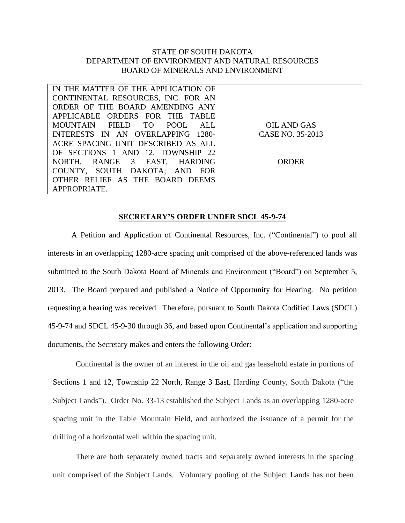## STATE OF SOUTH DAKOTA DEPARTMENT OF ENVIRONMENT AND NATURAL RESOURCES BOARD OF MINERALS AND ENVIRONMENT

| IN THE MATTER OF THE APPLICATION OF |                  |
|-------------------------------------|------------------|
| CONTINENTAL RESOURCES, INC. FOR AN  |                  |
| ORDER OF THE BOARD AMENDING ANY     |                  |
| APPLICABLE ORDERS FOR THE TABLE     |                  |
| MOUNTAIN FIELD TO POOL ALL          | OIL AND GAS      |
| INTERESTS IN AN OVERLAPPING 1280-   | CASE NO. 35-2013 |
| ACRE SPACING UNIT DESCRIBED AS ALL  |                  |
| OF SECTIONS 1 AND 12, TOWNSHIP 22   |                  |
| NORTH, RANGE 3 EAST, HARDING        | ORDER            |
| COUNTY, SOUTH DAKOTA; AND FOR       |                  |
| OTHER RELIEF AS THE BOARD DEEMS     |                  |
| APPROPRIATE.                        |                  |

## **SECRETARY'S ORDER UNDER SDCL 45-9-74**

A Petition and Application of Continental Resources, Inc. ("Continental") to pool all interests in an overlapping 1280-acre spacing unit comprised of the above-referenced lands was submitted to the South Dakota Board of Minerals and Environment ("Board") on September 5, 2013. The Board prepared and published a Notice of Opportunity for Hearing. No petition requesting a hearing was received. Therefore, pursuant to South Dakota Codified Laws (SDCL) 45-9-74 and SDCL 45-9-30 through 36, and based upon Continental's application and supporting documents, the Secretary makes and enters the following Order:

Continental is the owner of an interest in the oil and gas leasehold estate in portions of Sections 1 and 12, Township 22 North, Range 3 East, Harding County, South Dakota ("the Subject Lands"). Order No. 33-13 established the Subject Lands as an overlapping 1280-acre spacing unit in the Table Mountain Field, and authorized the issuance of a permit for the drilling of a horizontal well within the spacing unit.

There are both separately owned tracts and separately owned interests in the spacing unit comprised of the Subject Lands. Voluntary pooling of the Subject Lands has not been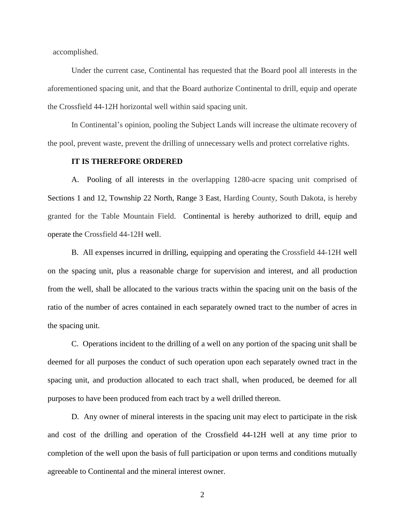accomplished.

Under the current case, Continental has requested that the Board pool all interests in the aforementioned spacing unit, and that the Board authorize Continental to drill, equip and operate the Crossfield 44-12H horizontal well within said spacing unit.

In Continental's opinion, pooling the Subject Lands will increase the ultimate recovery of the pool, prevent waste, prevent the drilling of unnecessary wells and protect correlative rights.

## **IT IS THEREFORE ORDERED**

A. Pooling of all interests in the overlapping 1280-acre spacing unit comprised of Sections 1 and 12, Township 22 North, Range 3 East, Harding County, South Dakota, is hereby granted for the Table Mountain Field. Continental is hereby authorized to drill, equip and operate the Crossfield 44-12H well.

B. All expenses incurred in drilling, equipping and operating the Crossfield 44-12H well on the spacing unit, plus a reasonable charge for supervision and interest, and all production from the well, shall be allocated to the various tracts within the spacing unit on the basis of the ratio of the number of acres contained in each separately owned tract to the number of acres in the spacing unit.

C. Operations incident to the drilling of a well on any portion of the spacing unit shall be deemed for all purposes the conduct of such operation upon each separately owned tract in the spacing unit, and production allocated to each tract shall, when produced, be deemed for all purposes to have been produced from each tract by a well drilled thereon.

D. Any owner of mineral interests in the spacing unit may elect to participate in the risk and cost of the drilling and operation of the Crossfield 44-12H well at any time prior to completion of the well upon the basis of full participation or upon terms and conditions mutually agreeable to Continental and the mineral interest owner.